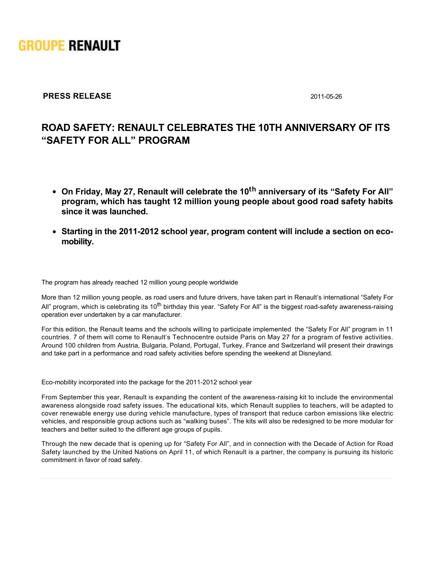

## **PRESS RELEASE** 2011-05-26

## **ROAD SAFETY: RENAULT CELEBRATES THE 10TH ANNIVERSARY OF ITS "SAFETY FOR ALL" PROGRAM**

- **On Friday, May 27, Renault will celebrate the 10th anniversary of its "Safety For All" program, which has taught 12 million young people about good road safety habits since it was launched.**
- Starting in the 2011-2012 school year, program content will include a section on eco**mobility.**

The program has already reached 12 million young people worldwide

More than 12 million young people, as road users and future drivers, have taken part in Renault's international "Safety For All" program, which is celebrating its 10<sup>th</sup> birthday this year. "Safety For All" is the biggest road-safety awareness-raising operation ever undertaken by a car manufacturer.

For this edition, the Renault teams and the schools willing to participate implemented the "Safety For All" program in 11 countries. 7 of them will come to Renault's Technocentre outside Paris on May 27 for a program of festive activities. Around 100 children from Austria, Bulgaria, Poland, Portugal, Turkey, France and Switzerland will present their drawings and take part in a performance and road safety activities before spending the weekend at Disneyland.

Eco-mobility incorporated into the package for the 2011-2012 school year

From September this year, Renault is expanding the content of the awarenessraising kit to include the environmental awareness alongside road safety issues. The educational kits, which Renault supplies to teachers, will be adapted to cover renewable energy use during vehicle manufacture, types of transport that reduce carbon emissions like electric vehicles, and responsible group actions such as "walking buses". The kits will also be redesigned to be more modular for teachers and better suited to the different age groups of pupils.

Through the new decade that is opening up for "Safety For All", and in connection with the Decade of Action for Road Safety launched by the United Nations on April 11, of which Renault is a partner, the company is pursuing its historic commitment in favor of road safety.